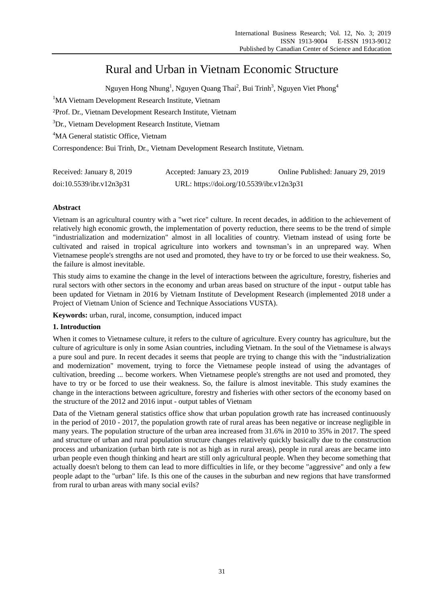# Rural and Urban in Vietnam Economic Structure

Nguyen Hong Nhung<sup>1</sup>, Nguyen Quang Thai<sup>2</sup>, Bui Trinh<sup>3</sup>, Nguyen Viet Phong<sup>4</sup>

<sup>1</sup>MA Vietnam Development Research Institute, Vietnam

<sup>2</sup>Prof. Dr., Vietnam Development Research Institute, Vietnam

<sup>3</sup>Dr., Vietnam Development Research Institute, Vietnam

<sup>4</sup>MA General statistic Office, Vietnam

Correspondence: Bui Trinh, Dr., Vietnam Development Research Institute, Vietnam.

| Received: January 8, 2019 | Accepted: January 23, 2019                | Online Published: January 29, 2019 |
|---------------------------|-------------------------------------------|------------------------------------|
| doi:10.5539/ibr.v12n3p31  | URL: https://doi.org/10.5539/ibr.v12n3p31 |                                    |

## **Abstract**

Vietnam is an agricultural country with a "wet rice" culture. In recent decades, in addition to the achievement of relatively high economic growth, the implementation of poverty reduction, there seems to be the trend of simple "industrialization and modernization" almost in all localities of country. Vietnam instead of using forte be cultivated and raised in tropical agriculture into workers and townsman's in an unprepared way. When Vietnamese people's strengths are not used and promoted, they have to try or be forced to use their weakness. So, the failure is almost inevitable.

This study aims to examine the change in the level of interactions between the agriculture, forestry, fisheries and rural sectors with other sectors in the economy and urban areas based on structure of the input - output table has been updated for Vietnam in 2016 by Vietnam Institute of Development Research (implemented 2018 under a Project of Vietnam Union of Science and Technique Associations VUSTA).

**Keywords:** urban, rural, income, consumption, induced impact

## **1. Introduction**

When it comes to Vietnamese culture, it refers to the culture of agriculture. Every country has agriculture, but the culture of agriculture is only in some Asian countries, including Vietnam. In the soul of the Vietnamese is always a pure soul and pure. In recent decades it seems that people are trying to change this with the "industrialization and modernization" movement, trying to force the Vietnamese people instead of using the advantages of cultivation, breeding ... become workers. When Vietnamese people's strengths are not used and promoted, they have to try or be forced to use their weakness. So, the failure is almost inevitable. This study examines the change in the interactions between agriculture, forestry and fisheries with other sectors of the economy based on the structure of the 2012 and 2016 input - output tables of Vietnam

Data of the Vietnam general statistics office show that urban population growth rate has increased continuously in the period of 2010 - 2017, the population growth rate of rural areas has been negative or increase negligible in many years. The population structure of the urban area increased from 31.6% in 2010 to 35% in 2017. The speed and structure of urban and rural population structure changes relatively quickly basically due to the construction process and urbanization (urban birth rate is not as high as in rural areas), people in rural areas are became into urban people even though thinking and heart are still only agricultural people. When they become something that actually doesn't belong to them can lead to more difficulties in life, or they become "aggressive" and only a few people adapt to the "urban" life. Is this one of the causes in the suburban and new regions that have transformed from rural to urban areas with many social evils?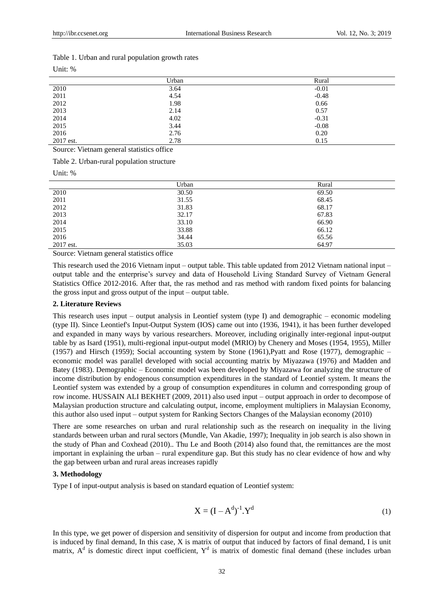| Unit: $%$ |  |
|-----------|--|
|           |  |

|           | Urban | Rural   |
|-----------|-------|---------|
| 2010      | 3.64  | $-0.01$ |
| 2011      | 4.54  | $-0.48$ |
| 2012      | 1.98  | 0.66    |
| 2013      | 2.14  | 0.57    |
| 2014      | 4.02  | $-0.31$ |
| 2015      | 3.44  | $-0.08$ |
| 2016      | 2.76  | 0.20    |
| 2017 est. | 2.78  | 0.15    |

Source: Vietnam general statistics office

Table 2. Urban-rural population structure

Unit: %

|           | Urban | Rural |  |
|-----------|-------|-------|--|
| 2010      | 30.50 | 69.50 |  |
| 2011      | 31.55 | 68.45 |  |
| 2012      | 31.83 | 68.17 |  |
| 2013      | 32.17 | 67.83 |  |
| 2014      | 33.10 | 66.90 |  |
| 2015      | 33.88 | 66.12 |  |
| 2016      | 34.44 | 65.56 |  |
| 2017 est. | 35.03 | 64.97 |  |

Source: Vietnam general statistics office

This research used the 2016 Vietnam input – output table. This table updated from 2012 Vietnam national input – output table and the enterprise's survey and data of Household Living Standard Survey of Vietnam General Statistics Office 2012-2016. After that, the ras method and ras method with random fixed points for balancing the gross input and gross output of the input – output table.

#### **2. Literature Reviews**

This research uses input – output analysis in Leontief system (type I) and demographic – economic modeling (type II). Since Leontief's Input-Output System (IOS) came out into (1936, 1941), it has been further developed and expanded in many ways by various researchers. Moreover, including originally inter-regional input-output table by as Isard (1951), multi-regional input-output model (MRIO) by Chenery and Moses (1954, 1955), Miller (1957) and Hirsch (1959); Social accounting system by Stone (1961),Pyatt and Rose (1977), demographic – economic model was parallel developed with social accounting matrix by Miyazawa (1976) and Madden and Batey (1983). Demographic – Economic model was been developed by Miyazawa for analyzing the structure of income distribution by endogenous consumption expenditures in the standard of Leontief system. It means the Leontief system was extended by a group of consumption expenditures in column and corresponding group of row income. HUSSAIN ALI BEKHET (2009, 2011) also used input – output approach in order to decompose of Malaysian production structure and calculating output, income, employment multipliers in Malaysian Economy, this author also used input – output system for Ranking Sectors Changes of the Malaysian economy (2010)

There are some researches on urban and rural relationship such as the research on inequality in the living standards between urban and rural sectors (Mundle, Van Akadie, 1997); Inequality in job search is also shown in the study of Phan and Coxhead (2010).. Thu Le and Booth (2014) also found that, the remittances are the most important in explaining the urban – rural expenditure gap. But this study has no clear evidence of how and why the gap between urban and rural areas increases rapidly

#### **3. Methodology**

Type I of input-output analysis is based on standard equation of Leontief system:

$$
X = (I - Ad)-1.Yd
$$
 (1)

In this type, we get power of dispersion and sensitivity of dispersion for output and income from production that is induced by final demand, In this case, X is matrix of output that induced by factors of final demand, I is unit matrix,  $A<sup>d</sup>$  is domestic direct input coefficient,  $Y<sup>d</sup>$  is matrix of domestic final demand (these includes urban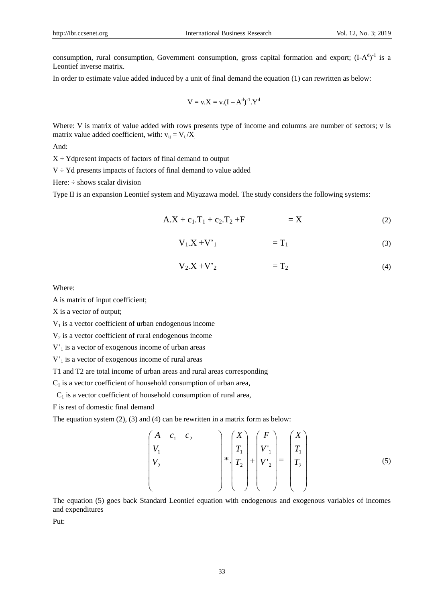consumption, rural consumption, Government consumption, gross capital formation and export;  $(I-A<sup>d</sup>)<sup>-1</sup>$  is a Leontief inverse matrix.

In order to estimate value added induced by a unit of final demand the equation (1) can rewritten as below:

$$
V = v.X = v.(I - Ad)-1.Yd
$$

Where: V is matrix of value added with rows presents type of income and columns are number of sectors; v is matrix value added coefficient, with:  $v_{ij} = V_{ij}/X_j$ 

And:

 $X \div Y$ dpresent impacts of factors of final demand to output

 $V \div Yd$  presents impacts of factors of final demand to value added

Here:  $\div$  shows scalar division

Type II is an expansion Leontief system and Miyazawa model. The study considers the following systems:

$$
A.X + c_1.T_1 + c_2.T_2 + F = X \tag{2}
$$

$$
V_1.X + V'_1 = T_1 \tag{3}
$$

$$
V_2.X + V'_2 = T_2 \tag{4}
$$

Where:

A is matrix of input coefficient;

X is a vector of output;

 $V<sub>1</sub>$  is a vector coefficient of urban endogenous income

 $V_2$  is a vector coefficient of rural endogenous income

 $V'_{1}$  is a vector of exogenous income of urban areas

 $V<sub>1</sub>$  is a vector of exogenous income of rural areas

T1 and T2 are total income of urban areas and rural areas corresponding

 $C_1$  is a vector coefficient of household consumption of urban area,

 $C_1$  is a vector coefficient of household consumption of rural area,

F is rest of domestic final demand

The equation system (2), (3) and (4) can be rewritten in a matrix form as below:

$$
\begin{pmatrix}\nA & c_1 & c_2 & & & \\
V_1 & & & & & \\
V_2 & & & & & \\
& & & & & \n\end{pmatrix} * \begin{pmatrix}\nX \\
T_1 \\
T_2 \\
T_3\n\end{pmatrix} + \begin{pmatrix}\nF \\
V'_1 \\
V'_2 \\
T_4\n\end{pmatrix} = \begin{pmatrix}\nX \\
T_1 \\
T_2 \\
T_5\n\end{pmatrix}
$$
\n(5)

The equation (5) goes back Standard Leontief equation with endogenous and exogenous variables of incomes and expenditures

Put: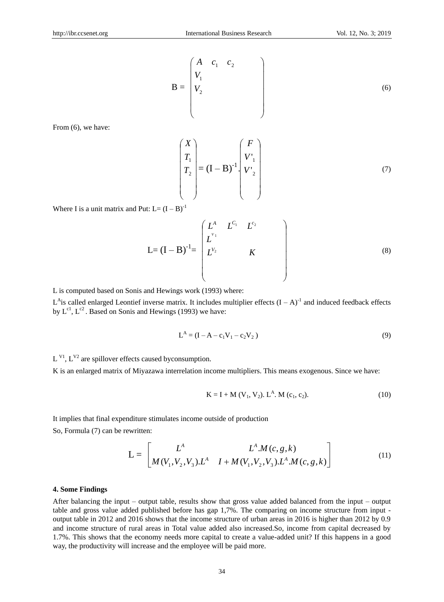$$
\mathbf{B} = \begin{pmatrix} A & c_1 & c_2 \\ V_1 & & \\ V_2 & & \\ & & \end{pmatrix} \tag{6}
$$

From  $(6)$ , we have:

$$
\begin{pmatrix} X \\ T_1 \\ T_2 \\ \end{pmatrix} = (\mathbf{I} - \mathbf{B})^{-1} \begin{pmatrix} F \\ V_1 \\ V_2 \\ \end{pmatrix}
$$
 (7)

Where I is a unit matrix and Put:  $L = (I - B)^{-1}$ 

$$
L=(I-B)^{-1}=\begin{pmatrix}L^{A} & L^{C_{1}} & L^{c_{2}} \\ L^{V_{1}} & & & \\ L^{V_{2}} & & K & \\ & & & \end{pmatrix}
$$
 (8)

L is computed based on Sonis and Hewings work (1993) where:

 $L^{\text{A}}$  is called enlarged Leontief inverse matrix. It includes multiplier effects  $(I - A)^{-1}$  and induced feedback effects by  $L^{c1}$ ,  $L^{c2}$ . Based on Sonis and Hewings (1993) we have:

$$
L^{A} = (I - A - c_1 V_1 - c_2 V_2)
$$
\n(9)

 $L^{VI}$ ,  $L^{V2}$  are spillover effects caused byconsumption.

K is an enlarged matrix of Miyazawa interrelation income multipliers. This means exogenous. Since we have:

$$
K = I + M (V1, V2). LA. M (c1, c2).
$$
 (10)

It implies that final expenditure stimulates income outside of production So, Formula (7) can be rewritten:

$$
L = \begin{bmatrix} L^A & L^A M(c, g, k) \\ M(V_1, V_2, V_3) L^A & I + M(V_1, V_2, V_3) L^A M(c, g, k) \end{bmatrix}
$$
(11)

#### **4. Some Findings**

After balancing the input – output table, results show that gross value added balanced from the input – output table and gross value added published before has gap 1,7%. The comparing on income structure from input output table in 2012 and 2016 shows that the income structure of urban areas in 2016 is higher than 2012 by 0.9 and income structure of rural areas in Total value added also increased.So, income from capital decreased by 1.7%. This shows that the economy needs more capital to create a value-added unit? If this happens in a good way, the productivity will increase and the employee will be paid more.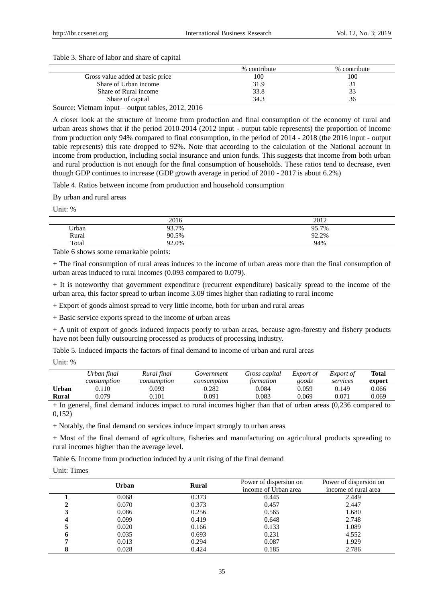#### Table 3. Share of labor and share of capital

|                                  | % contribute | % contribute |
|----------------------------------|--------------|--------------|
| Gross value added at basic price | 100          | 100          |
| Share of Urban income            | 31.9         |              |
| Share of Rural income            | 33.8         | 33           |
| Share of capital                 | 34.3         | 36           |
| $ -$<br>$\sim$<br>.<br>--------- |              |              |

Source: Vietnam input – output tables, 2012, 2016

A closer look at the structure of income from production and final consumption of the economy of rural and urban areas shows that if the period 2010-2014 (2012 input - output table represents) the proportion of income from production only 94% compared to final consumption, in the period of 2014 - 2018 (the 2016 input - output table represents) this rate dropped to 92%. Note that according to the calculation of the National account in income from production, including social insurance and union funds. This suggests that income from both urban and rural production is not enough for the final consumption of households. These ratios tend to decrease, even though GDP continues to increase (GDP growth average in period of 2010 - 2017 is about 6.2%)

Table 4. Ratios between income from production and household consumption

By urban and rural areas

Unit: %

|       | 2016  | 2012  |
|-------|-------|-------|
| Urban | 93.7% | 95.7% |
| Rural | 90.5% | 92.2% |
| Total | 92.0% | 94%   |

Table 6 shows some remarkable points:

+ The final consumption of rural areas induces to the income of urban areas more than the final consumption of urban areas induced to rural incomes (0.093 compared to 0.079).

+ It is noteworthy that government expenditure (recurrent expenditure) basically spread to the income of the urban area, this factor spread to urban income 3.09 times higher than radiating to rural income

+ Export of goods almost spread to very little income, both for urban and rural areas

+ Basic service exports spread to the income of urban areas

+ A unit of export of goods induced impacts poorly to urban areas, because agro-forestry and fishery products have not been fully outsourcing processed as products of processing industry.

Table 5. Induced impacts the factors of final demand to income of urban and rural areas

Unit: %

|       | Urban final | Rural final | Government  | Gross capital | <i>Export of</i> | Export of | <b>Total</b> |
|-------|-------------|-------------|-------------|---------------|------------------|-----------|--------------|
|       | consumption | consumption | consumption | formation     | goods            | services  | export       |
| Urban | 0.110       | 0.093       | 0.282       | 0.084         | 0.059            | 0.149     | 0.066        |
| Rural | 0.079       | 0.101       | 0.091       | $0.083\,$     | 0.069            | 0.071     | 0.069        |

+ In general, final demand induces impact to rural incomes higher than that of urban areas (0,236 compared to 0,152)

+ Notably, the final demand on services induce impact strongly to urban areas

+ Most of the final demand of agriculture, fisheries and manufacturing on agricultural products spreading to rural incomes higher than the average level.

Table 6. Income from production induced by a unit rising of the final demand

#### Unit: Times

| Urban | <b>Rural</b> | Power of dispersion on | Power of dispersion on |
|-------|--------------|------------------------|------------------------|
|       |              | income of Urban area   | income of rural area   |
| 0.068 | 0.373        | 0.445                  | 2.449                  |
| 0.070 | 0.373        | 0.457                  | 2.447                  |
| 0.086 | 0.256        | 0.565                  | 1.680                  |
| 0.099 | 0.419        | 0.648                  | 2.748                  |
| 0.020 | 0.166        | 0.133                  | 1.089                  |
| 0.035 | 0.693        | 0.231                  | 4.552                  |
| 0.013 | 0.294        | 0.087                  | 1.929                  |
| 0.028 | 0.424        | 0.185                  | 2.786                  |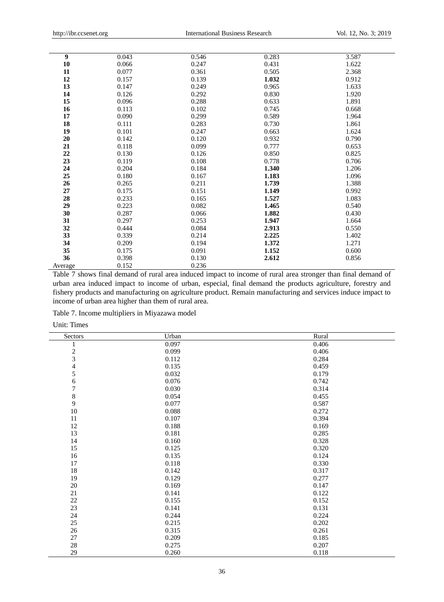| $\boldsymbol{9}$ | 0.043 | 0.546 | 0.283 | 3.587 |
|------------------|-------|-------|-------|-------|
| 10               | 0.066 | 0.247 | 0.431 | 1.622 |
| 11               | 0.077 | 0.361 | 0.505 | 2.368 |
| 12               | 0.157 | 0.139 | 1.032 | 0.912 |
| 13               | 0.147 | 0.249 | 0.965 | 1.633 |
| 14               | 0.126 | 0.292 | 0.830 | 1.920 |
| 15               | 0.096 | 0.288 | 0.633 | 1.891 |
| 16               | 0.113 | 0.102 | 0.745 | 0.668 |
| 17               | 0.090 | 0.299 | 0.589 | 1.964 |
| 18               | 0.111 | 0.283 | 0.730 | 1.861 |
| 19               | 0.101 | 0.247 | 0.663 | 1.624 |
| 20               | 0.142 | 0.120 | 0.932 | 0.790 |
| 21               | 0.118 | 0.099 | 0.777 | 0.653 |
| 22               | 0.130 | 0.126 | 0.850 | 0.825 |
| 23               | 0.119 | 0.108 | 0.778 | 0.706 |
| 24               | 0.204 | 0.184 | 1.340 | 1.206 |
| 25               | 0.180 | 0.167 | 1.183 | 1.096 |
| 26               | 0.265 | 0.211 | 1.739 | 1.388 |
| 27               | 0.175 | 0.151 | 1.149 | 0.992 |
| 28               | 0.233 | 0.165 | 1.527 | 1.083 |
| 29               | 0.223 | 0.082 | 1.465 | 0.540 |
| 30               | 0.287 | 0.066 | 1.882 | 0.430 |
| 31               | 0.297 | 0.253 | 1.947 | 1.664 |
| 32               | 0.444 | 0.084 | 2.913 | 0.550 |
| 33               | 0.339 | 0.214 | 2.225 | 1.402 |
| 34               | 0.209 | 0.194 | 1.372 | 1.271 |
| 35               | 0.175 | 0.091 | 1.152 | 0.600 |
| 36               | 0.398 | 0.130 | 2.612 | 0.856 |
| Average          | 0.152 | 0.236 |       |       |

Table 7 shows final demand of rural area induced impact to income of rural area stronger than final demand of urban area induced impact to income of urban, especial, final demand the products agriculture, forestry and fishery products and manufacturing on agriculture product. Remain manufacturing and services induce impact to income of urban area higher than them of rural area.

Table 7. Income multipliers in Miyazawa model

Unit: Times

| Sectors                  | Urban | Rural |
|--------------------------|-------|-------|
| 1                        | 0.097 | 0.406 |
| $\frac{2}{3}$            | 0.099 | 0.406 |
|                          | 0.112 | 0.284 |
| $\overline{\mathcal{L}}$ | 0.135 | 0.459 |
| 5                        | 0.032 | 0.179 |
| 6                        | 0.076 | 0.742 |
| 7                        | 0.030 | 0.314 |
| 8                        | 0.054 | 0.455 |
| 9                        | 0.077 | 0.587 |
| $10\,$                   | 0.088 | 0.272 |
| 11                       | 0.107 | 0.394 |
| 12                       | 0.188 | 0.169 |
| 13                       | 0.181 | 0.285 |
| 14                       | 0.160 | 0.328 |
| 15                       | 0.125 | 0.320 |
| 16                       | 0.135 | 0.124 |
| 17                       | 0.118 | 0.330 |
| $18\,$                   | 0.142 | 0.317 |
| 19                       | 0.129 | 0.277 |
| $20\,$                   | 0.169 | 0.147 |
| 21                       | 0.141 | 0.122 |
| $22\,$                   | 0.155 | 0.152 |
| 23                       | 0.141 | 0.131 |
| 24                       | 0.244 | 0.224 |
| 25                       | 0.215 | 0.202 |
| $26\,$                   | 0.315 | 0.261 |
| 27                       | 0.209 | 0.185 |
| $28\,$                   | 0.275 | 0.207 |
| 29                       | 0.260 | 0.118 |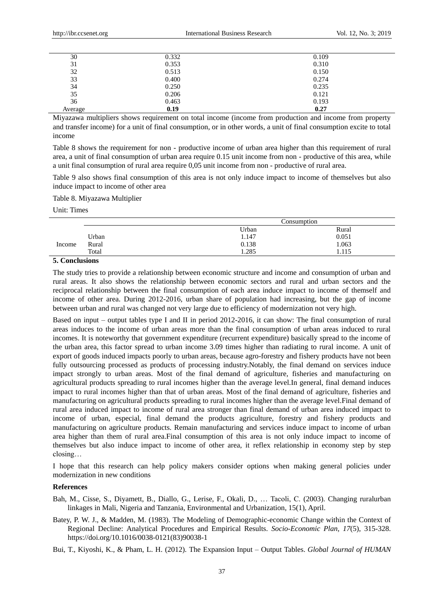| 30      | 0.332 | 0.109 |  |
|---------|-------|-------|--|
| 31      | 0.353 | 0.310 |  |
| 32      | 0.513 | 0.150 |  |
| 33      | 0.400 | 0.274 |  |
| 34      | 0.250 | 0.235 |  |
| 35      | 0.206 | 0.121 |  |
| 36      | 0.463 | 0.193 |  |
| Average | 0.19  | 0.27  |  |

Miyazawa multipliers shows requirement on total income (income from production and income from property and transfer income) for a unit of final consumption, or in other words, a unit of final consumption excite to total income

Table 8 shows the requirement for non - productive income of urban area higher than this requirement of rural area, a unit of final consumption of urban area require 0.15 unit income from non - productive of this area, while a unit final consumption of rural area require 0,05 unit income from non - productive of rural area.

Table 9 also shows final consumption of this area is not only induce impact to income of themselves but also induce impact to income of other area

Table 8. Miyazawa Multiplier

Unit: Times

|        |       | Consumption_ |              |
|--------|-------|--------------|--------------|
|        |       | Urban        | Rural        |
|        | Urban | 1.147        | 0.051        |
| Income | Rural | 0.138        | 1.063        |
|        | Total | 1.285        | 115<br>1.IIJ |

## **5. Conclusions**

The study tries to provide a relationship between economic structure and income and consumption of urban and rural areas. It also shows the relationship between economic sectors and rural and urban sectors and the reciprocal relationship between the final consumption of each area induce impact to income of themself and income of other area. During 2012-2016, urban share of population had increasing, but the gap of income between urban and rural was changed not very large due to efficiency of modernization not very high.

Based on input – output tables type I and II in period 2012-2016, it can show: The final consumption of rural areas induces to the income of urban areas more than the final consumption of urban areas induced to rural incomes. It is noteworthy that government expenditure (recurrent expenditure) basically spread to the income of the urban area, this factor spread to urban income 3.09 times higher than radiating to rural income. A unit of export of goods induced impacts poorly to urban areas, because agro-forestry and fishery products have not been fully outsourcing processed as products of processing industry.Notably, the final demand on services induce impact strongly to urban areas. Most of the final demand of agriculture, fisheries and manufacturing on agricultural products spreading to rural incomes higher than the average level.In general, final demand induces impact to rural incomes higher than that of urban areas. Most of the final demand of agriculture, fisheries and manufacturing on agricultural products spreading to rural incomes higher than the average level.Final demand of rural area induced impact to income of rural area stronger than final demand of urban area induced impact to income of urban, especial, final demand the products agriculture, forestry and fishery products and manufacturing on agriculture products. Remain manufacturing and services induce impact to income of urban area higher than them of rural area.Final consumption of this area is not only induce impact to income of themselves but also induce impact to income of other area, it reflex relationship in economy step by step closing…

I hope that this research can help policy makers consider options when making general policies under modernization in new conditions

#### **References**

- Bah, M., Cisse, S., Diyamett, B., Diallo, G., Lerise, F., Okali, D., … Tacoli, C. (2003). Changing ruralurban linkages in Mali, Nigeria and Tanzania, Environmental and Urbanization, 15(1), April.
- Batey, P. W. J., & Madden, M. (1983). The Modeling of Demographic-economic Change within the Context of Regional Decline: Analytical Procedures and Empirical Results. *Socio-Economic Plan, 17*(5), 315-328. https://doi.org/10.1016/0038-0121(83)90038-1

Bui, T., Kiyoshi, K., & Pham, L. H. (2012). The Expansion Input – Output Tables. *Global Journal of HUMAN*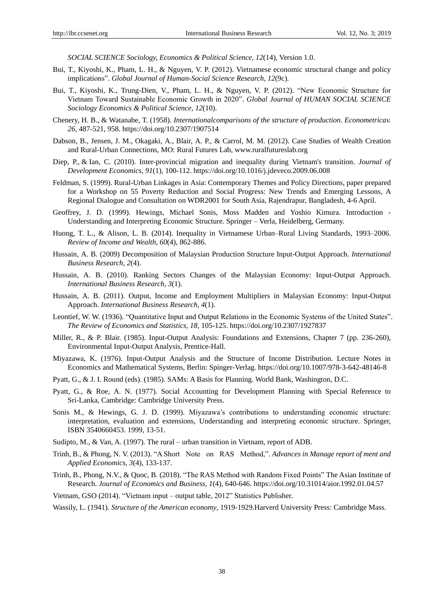*SOCIAL SCIENCE Sociology, Economics & Political Science, 12*(14), Version 1.0.

- Bui, T., Kiyoshi, K., Pham, L. H., & Nguyen, V. P. (2012). Vietnamese economic structural change and policy implications". *Global Journal of Human-Social Science Research, 12*(9c).
- Bui, T., Kiyoshi, K., Trung-Dien, V., Pham, L. H., & Nguyen, V. P. (2012). "New Economic Structure for Vietnam Toward Sustainable Economic Growth in 2020". *Global Journal of HUMAN SOCIAL SCIENCE Sociology Economics & Political Science, 12*(10).
- Chenery, H. B., & Watanabe, T. (1958). *Internationalcomparisons of the structure of production*. *Econometricav. 26,* 487-521, 958. https://doi.org/10.2307/1907514
- Dabson, B., Jensen, J. M., Okagaki, A., Blair, A. P., & Carrol, M. M. (2012). Case Studies of Wealth Creation and Rural-Urban Connections, MO: Rural Futures Lab, [www.ruralfutureslab.org](http://www.ruralfutureslab.org/)
- Diep, P., & [Ian,](https://econpapers.repec.org/RAS/pco271.htm) C. (2010). Inter-provincial migration and inequality during Vietnam's transition. *[Journal of](https://econpapers.repec.org/article/eeedeveco/)  [Development Economics,](https://econpapers.repec.org/article/eeedeveco/) 91*(1), 100-112. https://doi.org/10.1016/j.jdeveco.2009.06.008
- Feldman, S. (1999). Rural-Urban Linkages in Asia: Contemporary Themes and Policy Directions, paper prepared for a Workshop on 55 Poverty Reduction and Social Progress: New Trends and Emerging Lessons, A Regional Dialogue and Consultation on WDR2001 for South Asia, Rajendrapur, Bangladesh, 4-6 April.
- Geoffrey, J. D. (1999). Hewings, Michael Sonis, Moss Madden and Yoshio Kimura. Introduction Understanding and Interpreting Economic Structure. Springer – Verla, Heidelberg, Germany.
- [Huong,](https://papers.ssrn.com/sol3/cf_dev/AbsByAuth.cfm?per_id=2325672) T. L., & [Alison,](https://papers.ssrn.com/sol3/cf_dev/AbsByAuth.cfm?per_id=47551) L. B. (2014). Inequality in Vietnamese Urban–Rural Living Standards, 1993–2006. *[Review of Income and Wealth, 60](https://papers.ssrn.com/sol3/papers.cfm?abstract_id=2522719##)*(4), 862-886.
- Hussain, A. B. (2009) Decomposition of Malaysian Production Structure Input-Output Approach. *International Business Research, 2*(4).
- Hussain, A. B. (2010). Ranking Sectors Changes of the Malaysian Economy: Input-Output Approach. *International Business Research, 3*(1).
- Hussain, A. B. (2011). Output, Income and Employment Multipliers in Malaysian Economy: Input-Output Approach. *International Business Research, 4*(1).
- Leontief, W. W. (1936). "Quantitative Input and Output Relations in the Economic Systems of the United States". *The Review of Economics and Statistics, 18,* 105-125. https://doi.org/10.2307/1927837
- Miller, R., & P. Blair. (1985). Input-Output Analysis: Foundations and Extensions, Chapter 7 (pp. 236-260), Environmental Input-Output Analysis, Prentice-Hall.
- Miyazawa, K. (1976). Input-Output Analysis and the Structure of Income Distribution. Lecture Notes in Economics and Mathematical Systems, Berlin: Spinger-Verlag. https://doi.org/10.1007/978-3-642-48146-8
- Pyatt, G., & J. I. Round (eds). (1985). SAMs: A Basis for Planning. World Bank, Washington, D.C.
- Pyatt, G., & Roe, A. N. (1977). Social Accounting for Development Planning with Special Reference to Sri-Lanka, Cambridge: Cambridge University Press.
- Sonis M., & Hewings, G. J. D. (1999). Miyazawa's contributions to understanding economic structure: interpretation, evaluation and extensions, Understanding and interpreting economic structure. Springer, ISBN 3540660453. 1999, 13-51.
- Sudipto, M., & Van, A. (1997). The rural urban transition in Vietnam, report of ADB.
- Trinh, B., & Phong, N. V. (2013). "A Short Note on RAS Method,". *Advances in Manage report of ment and Applied Economics, 3*(4), 133-137.
- Trinh, B., Phong, N.V., & Quoc, B. (2018). "The RAS Method with Random Fixed Points" The Asian Institute of Research. *Journal of Economics and Business, 1*(4), 640-646. https://doi.org/10.31014/aior.1992.01.04.57
- Vietnam, GSO (2014). "Vietnam input output table, 2012" Statistics Publisher.
- Wassily, L. (1941). *Structure of the American economy*, 1919-1929.Harverd University Press: Cambridge Mass.